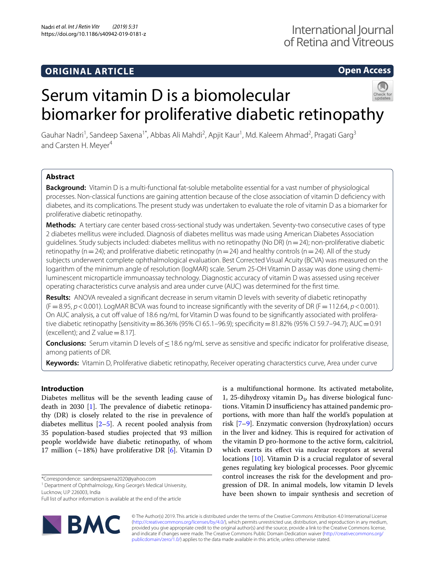## **ORIGINAL ARTICLE**

## **Open Access**

# Serum vitamin D is a biomolecular biomarker for proliferative diabetic retinopathy

Gauhar Nadri<sup>1</sup>, Sandeep Saxena<sup>1\*</sup>, Abbas Ali Mahdi<sup>2</sup>, Apjit Kaur<sup>1</sup>, Md. Kaleem Ahmad<sup>2</sup>, Pragati Garg<sup>3</sup> and Carsten H. Meyer<sup>4</sup>

## **Abstract**

**Background:** Vitamin D is a multi-functional fat-soluble metabolite essential for a vast number of physiological processes. Non-classical functions are gaining attention because of the close association of vitamin D defciency with diabetes, and its complications. The present study was undertaken to evaluate the role of vitamin D as a biomarker for proliferative diabetic retinopathy.

**Methods:** A tertiary care center based cross-sectional study was undertaken. Seventy-two consecutive cases of type 2 diabetes mellitus were included. Diagnosis of diabetes mellitus was made using American Diabetes Association quidelines. Study subjects included: diabetes mellitus with no retinopathy (No DR) ( $n=24$ ); non-proliferative diabetic retinopathy (n = 24); and proliferative diabetic retinopathy (n = 24) and healthy controls (n = 24). All of the study subjects underwent complete ophthalmological evaluation. Best Corrected Visual Acuity (BCVA) was measured on the logarithm of the minimum angle of resolution (logMAR) scale. Serum 25-OH Vitamin D assay was done using chemiluminescent microparticle immunoassay technology. Diagnostic accuracy of vitamin D was assessed using receiver operating characteristics curve analysis and area under curve (AUC) was determined for the frst time.

**Results:** ANOVA revealed a signifcant decrease in serum vitamin D levels with severity of diabetic retinopathy  $(F=8.95, p < 0.001)$ . LogMAR BCVA was found to increase significantly with the severity of DR (F = 112.64,  $p < 0.001$ ). On AUC analysis, a cut off value of 18.6 ng/mL for Vitamin D was found to be significantly associated with proliferative diabetic retinopathy [sensitivity=86.36% (95% CI 65.1–96.9); specificity=81.82% (95% CI 59.7–94.7); AUC=0.91 (excellent); and  $Z$  value  $= 8.17$ ].

Conclusions: Serum vitamin D levels of ≤18.6 ng/mL serve as sensitive and specific indicator for proliferative disease, among patients of DR.

**Keywords:** Vitamin D, Proliferative diabetic retinopathy, Receiver operating characterstics curve, Area under curve

## **Introduction**

Diabetes mellitus will be the seventh leading cause of death in 2030  $[1]$  $[1]$ . The prevalence of diabetic retinopathy (DR) is closely related to the rise in prevalence of diabetes mellitus  $[2-5]$  $[2-5]$ . A recent pooled analysis from 35 population-based studies projected that 93 million people worldwide have diabetic retinopathy, of whom 17 million (~18%) have proliferative DR [[6\]](#page-4-3). Vitamin D

Lucknow, U.P 226003, India

Full list of author information is available at the end of the article



is a multifunctional hormone. Its activated metabolite, 1, 25-dihydroxy vitamin  $D_3$ , has diverse biological functions. Vitamin D insufficiency has attained pandemic proportions, with more than half the world's population at risk [\[7](#page-4-4)[–9](#page-4-5)]. Enzymatic conversion (hydroxylation) occurs in the liver and kidney. This is required for activation of the vitamin D pro-hormone to the active form, calcitriol, which exerts its effect via nuclear receptors at several locations [[10\]](#page-4-6). Vitamin D is a crucial regulator of several genes regulating key biological processes. Poor glycemic control increases the risk for the development and progression of DR. In animal models, low vitamin D levels have been shown to impair synthesis and secretion of

© The Author(s) 2019. This article is distributed under the terms of the Creative Commons Attribution 4.0 International License [\(http://creativecommons.org/licenses/by/4.0/\)](http://creativecommons.org/licenses/by/4.0/), which permits unrestricted use, distribution, and reproduction in any medium, provided you give appropriate credit to the original author(s) and the source, provide a link to the Creative Commons license, and indicate if changes were made. The Creative Commons Public Domain Dedication waiver ([http://creativecommons.org/](http://creativecommons.org/publicdomain/zero/1.0/) [publicdomain/zero/1.0/](http://creativecommons.org/publicdomain/zero/1.0/)) applies to the data made available in this article, unless otherwise stated.

<sup>\*</sup>Correspondence: sandeepsaxena2020@yahoo.com

<sup>&</sup>lt;sup>1</sup> Department of Ophthalmology, King George's Medical University,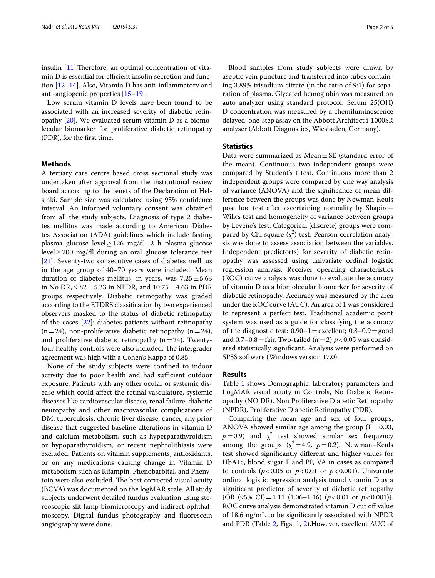insulin  $[11]$  $[11]$ . Therefore, an optimal concentration of vitamin D is essential for efficient insulin secretion and function  $[12-14]$  $[12-14]$ . Also, Vitamin D has anti-inflammatory and anti-angiogenic properties [\[15–](#page-4-10)[19\]](#page-4-11).

Low serum vitamin D levels have been found to be associated with an increased severity of diabetic retinopathy [[20\]](#page-4-12). We evaluated serum vitamin D as a biomolecular biomarker for proliferative diabetic retinopathy (PDR), for the frst time.

## **Methods**

A tertiary care centre based cross sectional study was undertaken after approval from the institutional review board according to the tenets of the Declaration of Helsinki. Sample size was calculated using 95% confdence interval. An informed voluntary consent was obtained from all the study subjects. Diagnosis of type 2 diabetes mellitus was made according to American Diabetes Association (ADA) guidelines which include fasting plasma glucose level≥126 mg/dl, 2 h plasma glucose level≥200 mg/dl during an oral glucose tolerance test [[21\]](#page-4-13). Seventy-two consecutive cases of diabetes mellitus in the age group of 40–70 years were included. Mean duration of diabetes mellitus, in years, was  $7.25 \pm 5.63$ in No DR,  $9.82 \pm 5.33$  in NPDR, and  $10.75 \pm 4.63$  in PDR groups respectively. Diabetic retinopathy was graded according to the ETDRS classifcation by two experienced observers masked to the status of diabetic retinopathy of the cases [\[22\]](#page-4-14): diabetes patients without retinopathy  $(n=24)$ , non-proliferative diabetic retinopathy  $(n=24)$ , and proliferative diabetic retinopathy  $(n=24)$ . Twentyfour healthy controls were also included. The intergrader agreement was high with a Cohen's Kappa of 0.85.

None of the study subjects were confned to indoor activity due to poor health and had sufficient outdoor exposure. Patients with any other ocular or systemic disease which could afect the retinal vasculature, systemic diseases like cardiovascular disease, renal failure, diabetic neuropathy and other macrovascular complications of DM, tuberculosis, chronic liver disease, cancer, any prior disease that suggested baseline alterations in vitamin D and calcium metabolism, such as hyperparathyroidism or hypoparathyroidism, or recent nephrolithiasis were excluded. Patients on vitamin supplements, antioxidants, or on any medications causing change in Vitamin D metabolism such as Rifampin, Phenobarbital, and Phenytoin were also excluded. The best-corrected visual acuity (BCVA) was documented on the logMAR scale. All study subjects underwent detailed fundus evaluation using stereoscopic slit lamp biomicroscopy and indirect ophthalmoscopy. Digital fundus photography and fuorescein angiography were done.

Blood samples from study subjects were drawn by aseptic vein puncture and transferred into tubes containing 3.89% trisodium citrate (in the ratio of 9:1) for separation of plasma. Glycated hemoglobin was measured on auto analyzer using standard protocol. Serum 25(OH) D concentration was measured by a chemiluminescence delayed, one-step assay on the Abbott Architect i-1000SR analyser (Abbott Diagnostics, Wiesbaden, Germany).

## **Statistics**

Data were summarized as Mean $\pm$ SE (standard error of the mean). Continuous two independent groups were compared by Student's t test. Continuous more than 2 independent groups were compared by one way analysis of variance (ANOVA) and the signifcance of mean difference between the groups was done by Newman-Keuls post hoc test after ascertaining normality by Shapiro– Wilk's test and homogeneity of variance between groups by Levene's test. Categorical (discrete) groups were compared by Chi square  $(\chi^2)$  test. Pearson correlation analysis was done to assess association between the variables. Independent predictor(s) for severity of diabetic retinopathy was assessed using univariate ordinal logistic regression analysis. Receiver operating characteristics (ROC) curve analysis was done to evaluate the accuracy of vitamin D as a biomolecular biomarker for severity of diabetic retinopathy. Accuracy was measured by the area under the ROC curve (AUC). An area of 1 was considered to represent a perfect test. Traditional academic point system was used as a guide for classifying the accuracy of the diagnostic test:  $0.90-1$  = excellent;  $0.8-0.9$  = good and  $0.7-0.8$  = fair. Two-tailed ( $\alpha$  = 2)  $p$  < 0.05 was considered statistically signifcant. Analysis were performed on SPSS software (Windows version 17.0).

## **Results**

Table [1](#page-2-0) shows Demographic, laboratory parameters and LogMAR visual acuity in Controls, No Diabetic Retinopathy (NO DR), Non Proliferative Diabetic Retinopathy (NPDR), Proliferative Diabetic Retinopathy (PDR).

Comparing the mean age and sex of four groups, ANOVA showed similar age among the group  $(F=0.03,$  $p=0.9$ ) and  $\chi^2$  test showed similar sex frequency among the groups  $(\chi^2=4.9, p=0.2)$ . Newman–Keuls test showed signifcantly diferent and higher values for HbA1c, blood sugar F and PP, VA in cases as compared to controls ( $p < 0.05$  or  $p < 0.01$  or  $p < 0.001$ ). Univariate ordinal logistic regression analysis found vitamin D as a signifcant predictor of severity of diabetic retinopathy {OR (95% CI)=1.11 (1.06–1.16) (*p*<0.01 or *p*<0.001)}. ROC curve analysis demonstrated vitamin D cut off value of 18.6 ng/mL to be signifcantly associated with NPDR and PDR (Table [2,](#page-2-1) Figs. [1](#page-2-2), [2\)](#page-3-0).However, excellent AUC of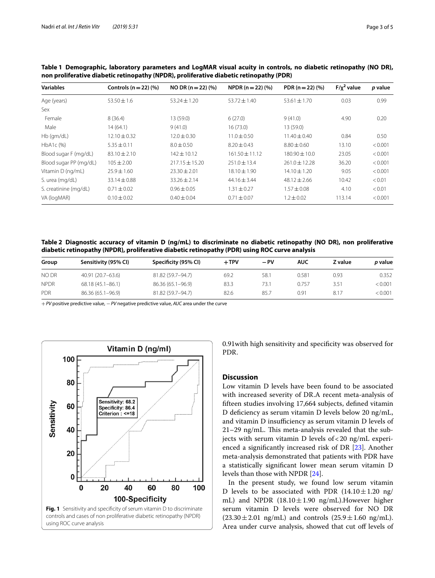| <b>Variables</b>       | Controls $(n = 22)$ $(\%)$ | $NO DR (n = 22)$ (%) | NPDR $(n = 22)$ (%) | PDR $(n = 22)$ $(\%)$ | $F/\chi^2$ value | p value |
|------------------------|----------------------------|----------------------|---------------------|-----------------------|------------------|---------|
| Age (years)            | $53.50 \pm 1.6$            | $53.24 \pm 1.20$     | $53.72 \pm 1.40$    | $53.61 \pm 1.70$      | 0.03             | 0.99    |
| Sex                    |                            |                      |                     |                       |                  |         |
| Female                 | 8(36.4)                    | 13(59.0)             | 6(27.0)             | 9(41.0)               | 4.90             | 0.20    |
| Male                   | 14(64.1)                   | 9(41.0)              | 16(73.0)            | 13 (59.0)             |                  |         |
| $Hb$ (gm/dL)           | $12.10 \pm 0.32$           | $12.0 \pm 0.30$      | $11.0 \pm 0.50$     | $11.40 \pm 0.40$      | 0.84             | 0.50    |
| HbA1c (%)              | $5.35 \pm 0.11$            | $8.0 \pm 0.50$       | $8.20 \pm 0.43$     | $8.80 \pm 0.60$       | 13.10            | < 0.001 |
| Blood sugar F (mg/dL)  | $83.10 \pm 2.10$           | $142 + 10.12$        | $161.50 \pm 11.12$  | $180.90 \pm 10.0$     | 23.05            | < 0.001 |
| Blood sugar PP (mg/dL) | $105 \pm 2.00$             | $217.15 \pm 15.20$   | $251.0 \pm 13.4$    | $261.0 \pm 12.28$     | 36.20            | < 0.001 |
| Vitamin D (ng/mL)      | $25.9 \pm 1.60$            | $23.30 \pm 2.01$     | $18.10 \pm 1.90$    | $14.10 \pm 1.20$      | 9.05             | < 0.001 |
| S. urea (mg/dL)        | $33.14 \pm 0.88$           | $33.26 \pm 2.14$     | $44.16 \pm 3.44$    | $48.12 \pm 2.66$      | 10.42            | < 0.01  |
| S. creatinine (mg/dL)  | $0.71 \pm 0.02$            | $0.96 \pm 0.05$      | $1.31 \pm 0.27$     | $1.57 \pm 0.08$       | 4.10             | < 0.01  |
| VA (logMAR)            | $0.10 \pm 0.02$            | $0.40 \pm 0.04$      | $0.71 \pm 0.07$     | $1.2 \pm 0.02$        | 113.14           | < 0.001 |

<span id="page-2-0"></span>**Table 1 Demographic, laboratory parameters and LogMAR visual acuity in controls, no diabetic retinopathy (NO DR), non proliferative diabetic retinopathy (NPDR), proliferative diabetic retinopathy (PDR)**

<span id="page-2-1"></span>**Table 2 Diagnostic accuracy of vitamin D (ng/mL) to discriminate no diabetic retinopathy (NO DR), non proliferative diabetic retinopathy (NPDR), proliferative diabetic retinopathy (PDR) using ROC curve analysis**

| Group       | Sensitivity (95% CI) | Specificity (95% CI) | $+TPV$ | — PV | AUC   | Z value | p value |
|-------------|----------------------|----------------------|--------|------|-------|---------|---------|
| NO DR       | 40.91 (20.7–63.6)    | 81.82 (59.7-94.7)    | 69.2   | 58.1 | 0.581 | 0.93    | 0.352   |
| <b>NPDR</b> | 68.18 (45.1-86.1)    | 86.36 (65.1-96.9)    | 83.3   | 73.1 | 0.757 | 3.51    | < 0.001 |
| <b>PDR</b>  | 86.36 (65.1–96.9)    | 81.82 (59.7-94.7)    | 82.6   | 85.7 | 0.91  | 8.17    | < 0.001 |

+*PV* positive predictive value, −*PV* negative predictive value, *AUC* area under the curve

<span id="page-2-2"></span>

0.91with high sensitivity and specifcity was observed for PDR.

## **Discussion**

Low vitamin D levels have been found to be associated with increased severity of DR.A recent meta-analysis of ffteen studies involving 17,664 subjects, defned vitamin D deficiency as serum vitamin D levels below 20 ng/mL, and vitamin D insufficiency as serum vitamin D levels of 21-29 ng/mL. This meta-analysis revealed that the subjects with serum vitamin D levels of<20 ng/mL experienced a signifcantly increased risk of DR [[23](#page-4-15)]. Another meta-analysis demonstrated that patients with PDR have a statistically signifcant lower mean serum vitamin D levels than those with NPDR [\[24](#page-4-16)].

In the present study, we found low serum vitamin D levels to be associated with PDR  $(14.10 \pm 1.20 \text{ ng/m})$ mL) and NPDR  $(18.10 \pm 1.90 \text{ ng/mL})$ . However higher serum vitamin D levels were observed for NO DR  $(23.30 \pm 2.01 \text{ ng/mL})$  and controls  $(25.9 \pm 1.60 \text{ ng/mL})$ . Area under curve analysis, showed that cut off levels of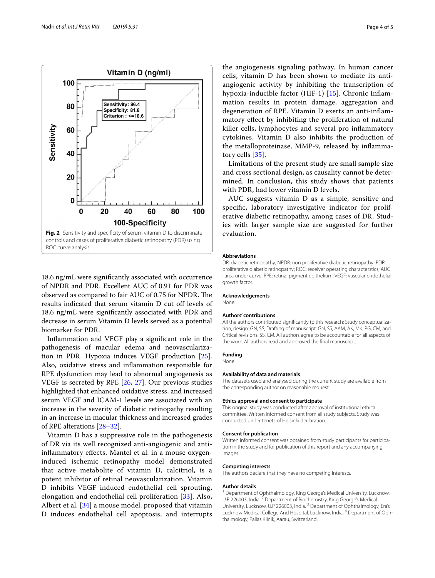

<span id="page-3-0"></span>18.6 ng/mL were signifcantly associated with occurrence of NPDR and PDR. Excellent AUC of 0.91 for PDR was observed as compared to fair AUC of 0.75 for NPDR. The results indicated that serum vitamin D cut of levels of 18.6 ng/mL were signifcantly associated with PDR and decrease in serum Vitamin D levels served as a potential biomarker for PDR.

Infammation and VEGF play a signifcant role in the pathogenesis of macular edema and neovascularization in PDR. Hypoxia induces VEGF production [\[25](#page-4-17)]. Also, oxidative stress and infammation responsible for RPE dysfunction may lead to abnormal angiogenesis as VEGF is secreted by RPE [\[26](#page-4-18), [27](#page-4-19)]. Our previous studies highlighted that enhanced oxidative stress, and increased serum VEGF and ICAM-1 levels are associated with an increase in the severity of diabetic retinopathy resulting in an increase in macular thickness and increased grades of RPE alterations [\[28](#page-4-20)–[32\]](#page-4-21).

Vitamin D has a suppressive role in the pathogenesis of DR via its well recognized anti-angiogenic and antiinfammatory efects. Mantel et al. in a mouse oxygeninduced ischemic retinopathy model demonstrated that active metabolite of vitamin D, calcitriol, is a potent inhibitor of retinal neovascularization. Vitamin D inhibits VEGF induced endothelial cell sprouting, elongation and endothelial cell proliferation [\[33](#page-4-22)]. Also, Albert et al. [\[34\]](#page-4-23) a mouse model, proposed that vitamin D induces endothelial cell apoptosis, and interrupts

the angiogenesis signaling pathway. In human cancer cells, vitamin D has been shown to mediate its antiangiogenic activity by inhibiting the transcription of hypoxia-inducible factor (HIF-1) [[15\]](#page-4-10). Chronic Infammation results in protein damage, aggregation and degeneration of RPE. Vitamin D exerts an anti-infammatory efect by inhibiting the proliferation of natural killer cells, lymphocytes and several pro infammatory cytokines. Vitamin D also inhibits the production of the metalloproteinase, MMP-9, released by infammatory cells [[35\]](#page-4-24).

Limitations of the present study are small sample size and cross sectional design, as causality cannot be determined. In conclusion, this study shows that patients with PDR, had lower vitamin D levels.

AUC suggests vitamin D as a simple, sensitive and specifc, laboratory investigative indicator for proliferative diabetic retinopathy, among cases of DR. Studies with larger sample size are suggested for further evaluation.

#### **Abbreviations**

DR: diabetic retinopathy; NPDR: non proliferative diabetic retinopathy; PDR: proliferative diabetic retinopathy; ROC: receiver operating characterstics; AUC : area under curve; RPE: retinal pigment epithelium; VEGF: vascular endothelial growth factor.

#### **Acknowledgements**

None.

#### **Authors' contributions**

All the authors contributed signifcantly to this research; Study conceptualization, design: GN, SS; Drafting of manuscript: GN, SS, AAM, AK, MK, PG, CM, and Critical revisions: SS, CM. All authors agree to be accountable for all aspects of the work. All authors read and approved the fnal manuscript.

#### **Funding**

None

## **Availability of data and materials**

The datasets used and analysed during the current study are available from the corresponding author on reasonable request.

#### **Ethics approval and consent to participate**

This original study was conducted after approval of institutional ethical committee. Written informed consent from all study subjects. Study was conducted under tenets of Helsinki declaration.

### **Consent for publication**

Written informed consent was obtained from study participants for participation in the study and for publication of this report and any accompanying images.

#### **Competing interests**

The authors declare that they have no competing interests.

#### **Author details**

<sup>1</sup> Department of Ophthalmology, King George's Medical University, Lucknow, U.P 226003, India. <sup>2</sup> Department of Biochemistry, King George's Medical University, Lucknow, U.P 226003, India. 3 Department of Ophthalmology, Era's Lucknow Medical College And Hospital, Lucknow, India. 4 Department of Ophthalmology, Pallas Klinik, Aarau, Switzerland.